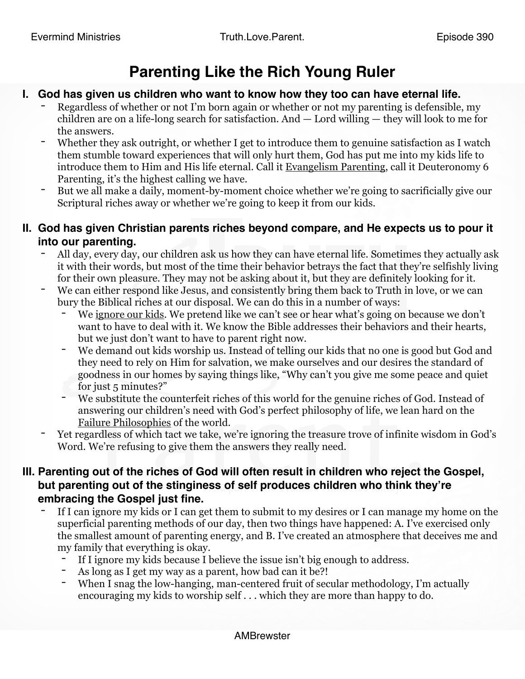## **Parenting Like the Rich Young Ruler**

## **I. God has given us children who want to know how they too can have eternal life.**

- Regardless of whether or not I'm born again or whether or not my parenting is defensible, my children are on a life-long search for satisfaction. And — Lord willing — they will look to me for the answers.
- Whether they ask outright, or whether I get to introduce them to genuine satisfaction as I watch them stumble toward experiences that will only hurt them, God has put me into my kids life to introduce them to Him and His life eternal. Call it [Evangelism Parenting,](https://www.truthloveparent.com/taking-back-the-family-blog/tlp-63-evangelism-parenting) call it Deuteronomy 6 Parenting, it's the highest calling we have.
- But we all make a daily, moment-by-moment choice whether we're going to sacrificially give our Scriptural riches away or whether we're going to keep it from our kids.

## **II. God has given Christian parents riches beyond compare, and He expects us to pour it into our parenting.**

- All day, every day, our children ask us how they can have eternal life. Sometimes they actually ask it with their words, but most of the time their behavior betrays the fact that they're selfishly living for their own pleasure. They may not be asking about it, but they are definitely looking for it.
- We can either respond like Jesus, and consistently bring them back to Truth in love, or we can bury the Biblical riches at our disposal. We can do this in a number of ways:
	- We <u>ignore our kids</u>. We pretend like we can't see or hear what's going on because we don't want to have to deal with it. We know the Bible addresses their behaviors and their hearts, but we just don't want to have to parent right now.
	- We demand out kids worship us. Instead of telling our kids that no one is good but God and they need to rely on Him for salvation, we make ourselves and our desires the standard of goodness in our homes by saying things like, "Why can't you give me some peace and quiet for just 5 minutes?"
	- We substitute the counterfeit riches of this world for the genuine riches of God. Instead of answering our children's need with God's perfect philosophy of life, we lean hard on the [Failure Philosophies](https://www.truthloveparent.com/taking-back-the-family-blog/tlp-61-are-there-failure-philosophies-in-your-home) of the world.
- Yet regardless of which tact we take, we're ignoring the treasure trove of infinite wisdom in God's Word. We're refusing to give them the answers they really need.

## **III. Parenting out of the riches of God will often result in children who reject the Gospel, but parenting out of the stinginess of self produces children who think they're embracing the Gospel just fine.**

- If I can ignore my kids or I can get them to submit to my desires or I can manage my home on the superficial parenting methods of our day, then two things have happened: A. I've exercised only the smallest amount of parenting energy, and B. I've created an atmosphere that deceives me and my family that everything is okay.
	- If I ignore my kids because I believe the issue isn't big enough to address.
	- As long as I get my way as a parent, how bad can it be?!
	- When I snag the low-hanging, man-centered fruit of secular methodology, I'm actually encouraging my kids to worship self . . . which they are more than happy to do.